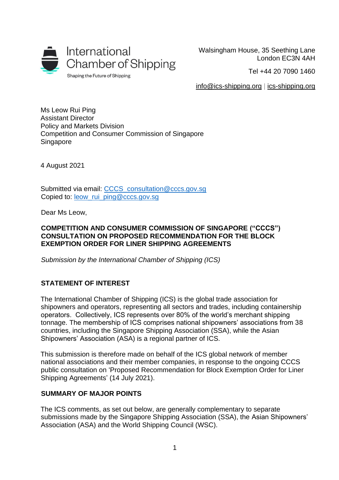

Walsingham House, 35 Seething Lane London EC3N 4AH

Tel +44 20 7090 1460

[info@ics-shipping.org](mailto:info@ics-shipping.org) | [ics-shipping.org](http://www.ics-shipping.org/)

Ms Leow Rui Ping Assistant Director Policy and Markets Division Competition and Consumer Commission of Singapore **Singapore** 

4 August 2021

Submitted via email: [CCCS\\_consultation@cccs.gov.sg](mailto:CCCS_consultation@cccs.gov.sg) Copied to: [leow\\_rui\\_ping@cccs.gov.sg](mailto:leow_rui_ping@cccs.gov.sg)

Dear Ms Leow,

#### **COMPETITION AND CONSUMER COMMISSION OF SINGAPORE ("CCCS") CONSULTATION ON PROPOSED RECOMMENDATION FOR THE BLOCK EXEMPTION ORDER FOR LINER SHIPPING AGREEMENTS**

*Submission by the International Chamber of Shipping (ICS)*

# **STATEMENT OF INTEREST**

The International Chamber of Shipping (ICS) is the global trade association for shipowners and operators, representing all sectors and trades, including containership operators. Collectively, ICS represents over 80% of the world's merchant shipping tonnage. The membership of ICS comprises national shipowners' associations from 38 countries, including the Singapore Shipping Association (SSA), while the Asian Shipowners' Association (ASA) is a regional partner of ICS.

This submission is therefore made on behalf of the ICS global network of member national associations and their member companies, in response to the ongoing CCCS public consultation on 'Proposed Recommendation for Block Exemption Order for Liner Shipping Agreements' (14 July 2021).

### **SUMMARY OF MAJOR POINTS**

The ICS comments, as set out below, are generally complementary to separate submissions made by the Singapore Shipping Association (SSA), the Asian Shipowners' Association (ASA) and the World Shipping Council (WSC).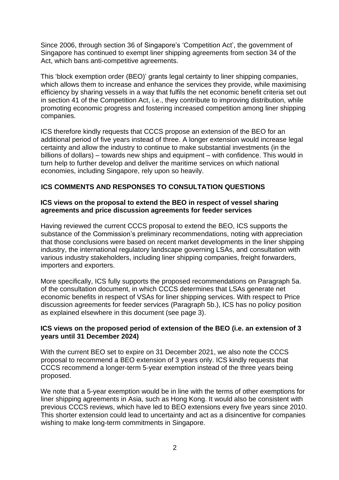Since 2006, through section 36 of Singapore's 'Competition Act', the government of Singapore has continued to exempt liner shipping agreements from section 34 of the Act, which bans anti-competitive agreements.

This 'block exemption order (BEO)' grants legal certainty to liner shipping companies, which allows them to increase and enhance the services they provide, while maximising efficiency by sharing vessels in a way that fulfils the net economic benefit criteria set out in section 41 of the Competition Act, i.e., they contribute to improving distribution, while promoting economic progress and fostering increased competition among liner shipping companies.

ICS therefore kindly requests that CCCS propose an extension of the BEO for an additional period of five years instead of three. A longer extension would increase legal certainty and allow the industry to continue to make substantial investments (in the billions of dollars) – towards new ships and equipment – with confidence. This would in turn help to further develop and deliver the maritime services on which national economies, including Singapore, rely upon so heavily.

# **ICS COMMENTS AND RESPONSES TO CONSULTATION QUESTIONS**

# **ICS views on the proposal to extend the BEO in respect of vessel sharing agreements and price discussion agreements for feeder services**

Having reviewed the current CCCS proposal to extend the BEO, ICS supports the substance of the Commission's preliminary recommendations, noting with appreciation that those conclusions were based on recent market developments in the liner shipping industry, the international regulatory landscape governing LSAs, and consultation with various industry stakeholders, including liner shipping companies, freight forwarders, importers and exporters.

More specifically, ICS fully supports the proposed recommendations on Paragraph 5a. of the consultation document, in which CCCS determines that LSAs generate net economic benefits in respect of VSAs for liner shipping services. With respect to Price discussion agreements for feeder services (Paragraph 5b.), ICS has no policy position as explained elsewhere in this document (see page 3).

#### **ICS views on the proposed period of extension of the BEO (i.e. an extension of 3 years until 31 December 2024)**

With the current BEO set to expire on 31 December 2021, we also note the CCCS proposal to recommend a BEO extension of 3 years only. ICS kindly requests that CCCS recommend a longer-term 5-year exemption instead of the three years being proposed.

We note that a 5-year exemption would be in line with the terms of other exemptions for liner shipping agreements in Asia, such as Hong Kong. It would also be consistent with previous CCCS reviews, which have led to BEO extensions every five years since 2010. This shorter extension could lead to uncertainty and act as a disincentive for companies wishing to make long-term commitments in Singapore.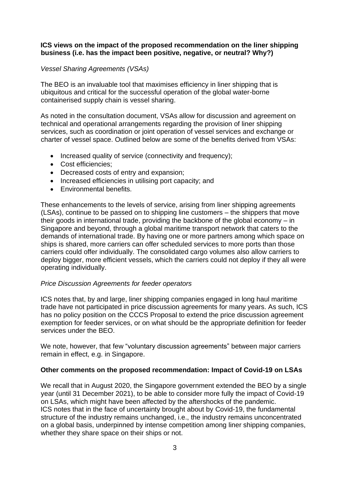# **ICS views on the impact of the proposed recommendation on the liner shipping business (i.e. has the impact been positive, negative, or neutral? Why?)**

# *Vessel Sharing Agreements (VSAs)*

The BEO is an invaluable tool that maximises efficiency in liner shipping that is ubiquitous and critical for the successful operation of the global water-borne containerised supply chain is vessel sharing.

As noted in the consultation document, VSAs allow for discussion and agreement on technical and operational arrangements regarding the provision of liner shipping services, such as coordination or joint operation of vessel services and exchange or charter of vessel space. Outlined below are some of the benefits derived from VSAs:

- Increased quality of service (connectivity and frequency);
- Cost efficiencies;
- Decreased costs of entry and expansion;
- Increased efficiencies in utilising port capacity; and
- Environmental benefits.

These enhancements to the levels of service, arising from liner shipping agreements (LSAs), continue to be passed on to shipping line customers – the shippers that move their goods in international trade, providing the backbone of the global economy – in Singapore and beyond, through a global maritime transport network that caters to the demands of international trade. By having one or more partners among which space on ships is shared, more carriers can offer scheduled services to more ports than those carriers could offer individually. The consolidated cargo volumes also allow carriers to deploy bigger, more efficient vessels, which the carriers could not deploy if they all were operating individually.

#### *Price Discussion Agreements for feeder operators*

ICS notes that, by and large, liner shipping companies engaged in long haul maritime trade have not participated in price discussion agreements for many years. As such, ICS has no policy position on the CCCS Proposal to extend the price discussion agreement exemption for feeder services, or on what should be the appropriate definition for feeder services under the BEO.

We note, however, that few "voluntary discussion agreements" between major carriers remain in effect, e.g. in Singapore.

#### **Other comments on the proposed recommendation: Impact of Covid-19 on LSAs**

We recall that in August 2020, the Singapore government extended the BEO by a single year (until 31 December 2021), to be able to consider more fully the impact of Covid-19 on LSAs, which might have been affected by the aftershocks of the pandemic. ICS notes that in the face of uncertainty brought about by Covid-19, the fundamental structure of the industry remains unchanged, i.e., the industry remains unconcentrated on a global basis, underpinned by intense competition among liner shipping companies, whether they share space on their ships or not.